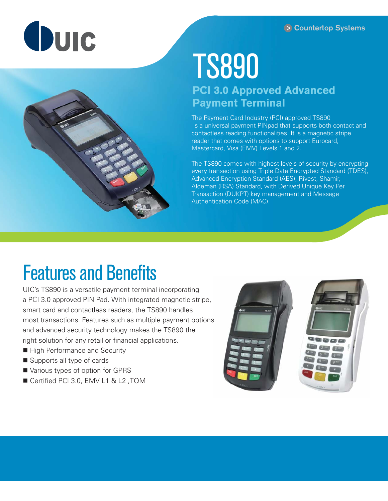# Quic



## TS890

### **PCI 3.0 Approved Advanced Payment Terminal**

The Payment Card Industry (PCI) approved TS890 is a universal payment PINpad that supports both contact and contactless reading functionalities. It is a magnetic stripe reader that comes with options to support Eurocard, Mastercard, Visa (EMV) Levels 1 and 2.

The TS890 comes with highest levels of security by encrypting every transaction using Triple Data Encrypted Standard (TDES), Advanced Encryption Standard (AES), Rivest, Shamir, Aldeman (RSA) Standard, with Derived Unique Key Per Transaction (DUKPT) key management and Message Authentication Code (MAC).

### Features and Benefits

UIC's TS890 is a versatile payment terminal incorporating a PCI 3.0 approved PIN Pad. With integrated magnetic stripe, smart card and contactless readers, the TS890 handles most transactions. Features such as multiple payment options and advanced security technology makes the TS890 the right solution for any retail or financial applications.

- High Performance and Security
- Supports all type of cards
- Various types of option for GPRS
- Certified PCI 3.0, EMV L1 & L2, TQM